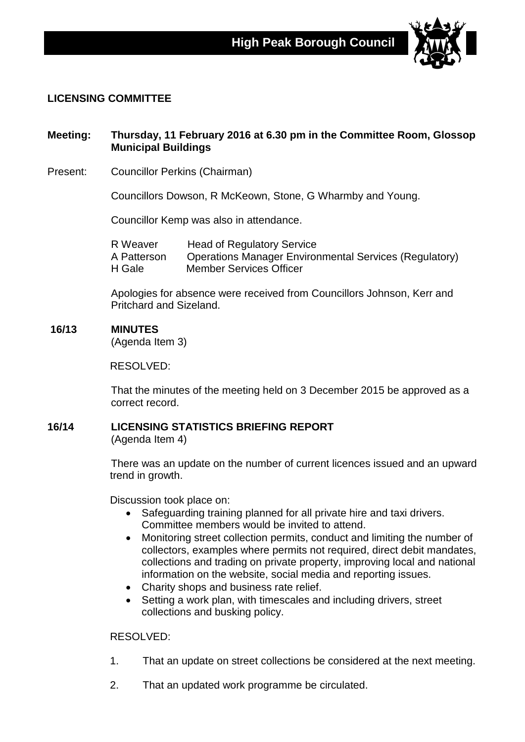

## **LICENSING COMMITTEE**

# **Meeting: Thursday, 11 February 2016 at 6.30 pm in the Committee Room, Glossop Municipal Buildings**

Present: Councillor Perkins (Chairman)

Councillors Dowson, R McKeown, Stone, G Wharmby and Young.

Councillor Kemp was also in attendance.

R Weaver Head of Regulatory Service A Patterson Operations Manager Environmental Services (Regulatory)<br>H Gale Member Services Officer Member Services Officer

Apologies for absence were received from Councillors Johnson, Kerr and Pritchard and Sizeland.

### **16/13 MINUTES**

(Agenda Item 3)

RESOLVED:

That the minutes of the meeting held on 3 December 2015 be approved as a correct record.

# **16/14 LICENSING STATISTICS BRIEFING REPORT**

(Agenda Item 4)

There was an update on the number of current licences issued and an upward trend in growth.

Discussion took place on:

- Safeguarding training planned for all private hire and taxi drivers. Committee members would be invited to attend.
- Monitoring street collection permits, conduct and limiting the number of collectors, examples where permits not required, direct debit mandates, collections and trading on private property, improving local and national information on the website, social media and reporting issues.
- Charity shops and business rate relief.
- Setting a work plan, with timescales and including drivers, street collections and busking policy.

#### RESOLVED:

- 1. That an update on street collections be considered at the next meeting.
- 2. That an updated work programme be circulated.